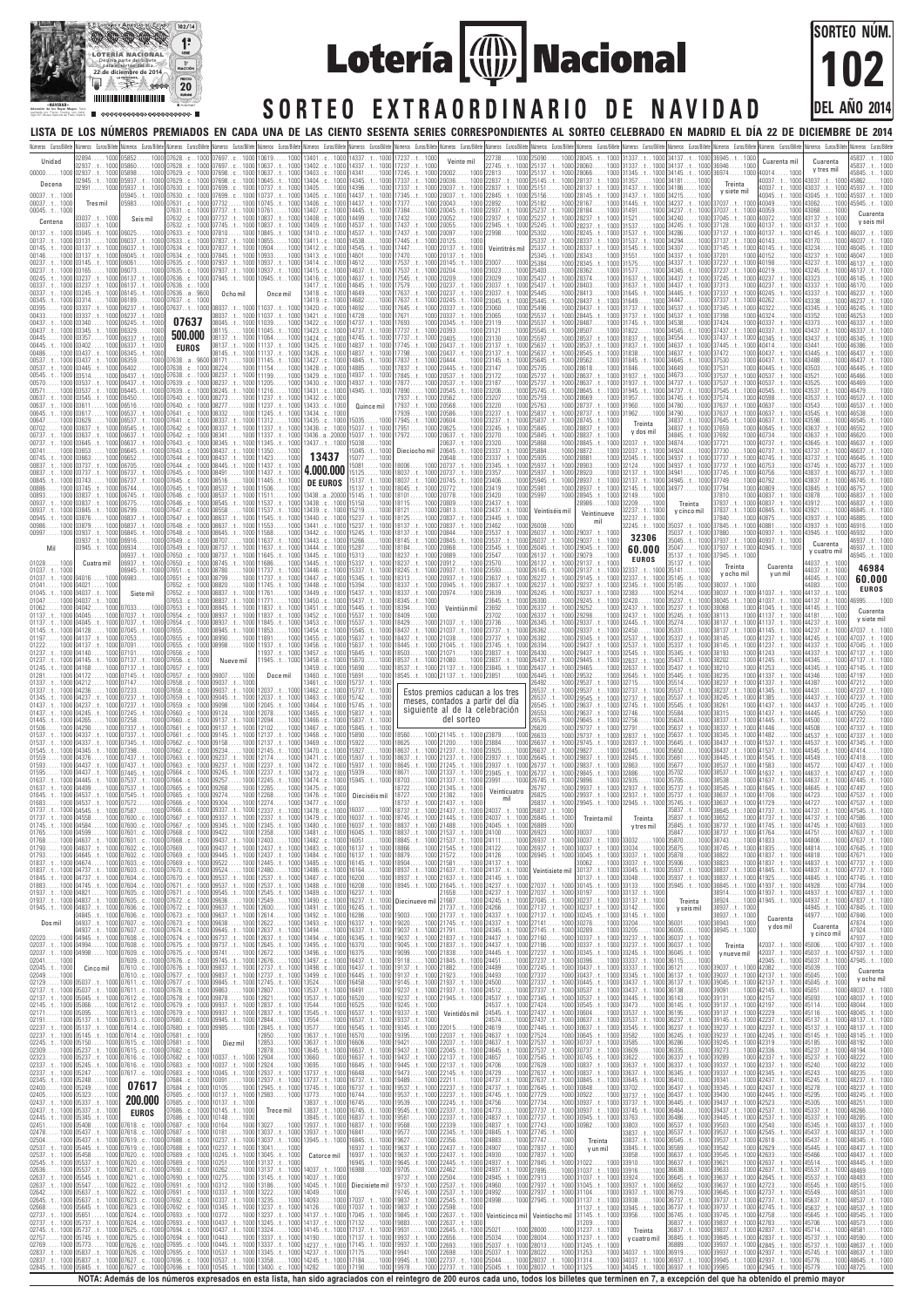02137. . t . . 1000 | 05037. . t . . 1000<br>02137. . t . . 1000 | 05045. . t . 1000<br>02171 . . . . . 1000 | 05095. . . . 1000<br>02191 . . . . . 1000 | 05137. . t . 1000<br>02237 . . t . 1000 | 05137. . t . 1000<br>02237 . t . . 1000  $02137...t$ 02145. . t . . 1000 02171 . . . . . 1000 02191 . . . . . 1000  $02237...t$  $02237...t$ 02245. . t . . 1000 02309 . . . . . 1000 02323. 02337. . t . . 1000 05245. . t . . 1000 02337. . t . . 1000 02345. . t . . 1000 05248.<br>02400. . . . . 1000 05249.  $02400.$ 02405 . . . . . 1000 02437. . t . . 1000 02437. . t . . 1000  $02445...t$ 02451 . . . . . 1000 02478 . . . . . 1000 02504 . . . . . 1000 02537. . t . . 1000 02537. . t . . 1000 02545..t..1000 05537.<br>02636.....1000 05537. 02636..... 1000 05537.<br>02637..t.. 1000 05545.<br>02637..t.. 1000 05547. 02637. . t . . 1000 02637. . t . . 1000 02642 . . . . . 1000 02645. . t . . 1000 05637. . t . . 1000 02668......1000<br>02737..t..1000  $02737.. t$ 02737..t..1000 05737<br>02745..t..1000 05737 02745. . t . . 1000 02757 . . . . . 1000 02769 02837..t..1000 05837. 02837. . t . . 1000 02845. . t . . 1000 05150 . . . . . 1000 05237. . t . . 1000 1000 05237..t.. 1000<br>1000 05237..t.. 1000 05247 . . . . . 1000 05248 . . . . . 1000 .<br>1000 05249 . . . . . 1000 . 05249 . . . . . 1000<br>05323 . . . . . 1000<br>05337 . . t . . 1000<br>05337 . . t . . 1000<br>05345 . . t . . 1000 05408 . . . . . 1000 05437. . t . . 1000 05437. . t . . 1000 05445. . t . . 1000 05458 . . . . . 1000 05537. . t . . 1000 05537. . t . . 1000 05545. . t . . 1000 05547 . . . . . 1000  $\begin{array}{c} 1000 \\ 1000 \\ 1000 \\ 1000 \\ 1000 \\ 05637. . t . . 1000 \\ 1000 \\ 05637. . t . . 1000 \\ \end{array}$ 1000 05645. t . . 1000 05651 . . . . . 1000<br>05737 . . t . . 1000 1000 05737. 05737. . t . . 1000 05745. . t . . 1000 1000 05773 . . . . . 1000<br>1000 05837 . . t . . 1000 05837. . t . . 1000 05837. . t . . 1000 05845. . t . . 1000 07611. . c . . 1000<br>07612. . c . . 1000<br>07612. . c . . 1000<br>07613. . c . . 1000<br>07614. . c . . 1000<br>07614. . c . . 1000 07615. . c . . 1000 07615. . c . . 1000 07616. . c . . 1000 07616. . c . . 1000 07683. . c . . 1000 07617. . c . . 1000 07618. .c . . 1000<br>07618. .c . . 1000<br>07619. .c . . 1000<br>07620. .c . . 1000<br>07620. .c . . 1000<br>07621. .c . . 1000 07621. . c . . 1000 07622. . c . . 1000 07622. . c . . 1000 07623. . c . . 1000 07623. . c . . 1000 07624. . c . . 1000 07624. . c . . 1000 07625. . c . . 1000 07625. . c . . 1000 07626. . c . . 1000 07626. . c . . 1000 07627. . c . . 1000 |07696. . c . . 1000 |10537 . . t . . 1000 |13358 . . . . . 1000<br>07627. . c . . 1000 |07696. . c . . 1000 |10545 . . t . . 1000 |13400. . c . . 1000 **07617 200.000** 07685..c. **EUROS** 07678. . c . . 1000 07678. . c . . 1000 07679. . c . . 1000 07679. . c . . 1000 07680. . c . . 1000 07680. . c . . 1000 07681. . c . . 1000 07681. . c . . 1000 07682. . c . . 1000 07682. . c . . 1000 07683. . c . . 1000 07684. . c . . 1000 07684. . c . . 1000 07685. . c . . 1000 07685. . c . . 1000 07686. . c . . 1000 07686. . c . . 1000<br>07687. . c . . 1000<br>07687. . c . . 1000<br>07688. . c . . 1000<br>07689. . c . . 1000<br>07689. . c . . 1000<br>07690. . c . . 1000 07690. . c . . 1000<br>07691. . c . . 1000<br>07691. . c . . 1000<br>07692. . c . . 1000<br>07693. . c . . 1000<br>07693. . c . . 1000 07694. . c . . 1000 07694. . c . . 1000 07695. . c . . 1000 07695. . c . . 1000 09863...... 1000<br>09878...... 1000<br>09937..t.. 1000<br>09937..t.. 1000<br>09945..t.. 1000<br>09985..... 1000 Diez mil 10037. . t . . 1000 12904 . . . . . 1000 10037. . t . . 1000 10045. . t . . 1000 10091 . . . . . 1000 10105 . . . . . 1000 10137. . t . . 1000 10137. . t . . 1000 10145. . t . . 1000 10148 . . . . . 1000 10164...... 1000<br>10181...... 1000<br>10237..t.. 1000<br>10245..t.. 1000<br>10251..... 1000<br>10262..... 1000 10275...... 1000<br>10312...... 1000<br>10337..t.. 1000<br>10345..t.. 1000<br>10372...... 1000<br>10437..t.. 1000 10437. . t . . 1000 10443 . . . . . 1000 10445. . t . . 1000 10537. . t . . 1000 12807 . . . . . 1000<br>12821 . . . . . 1000<br>12837 . . t . . 1000<br>12844 . . . . . 1000<br>12845 . . t . . 1000<br>12850 . . . . . 1000 12853...... 1000<br>12878...... 1000<br>12904...... 1000  $12878.$ 12924 . . . . . 1000 12937. . t . . 1000 12937. . t . . 1000 12924...... 1000<br>1000 12937..t...1000<br>1000 12937..t...1000<br>1000 12945..t...1000  $\ldots$  . 1000 Trece mil 13027 . . . . . 1000<br>13037 . . t . . 1000<br>13037 . . t . . 1000<br>13045 . . t . . 1000<br>13137 . . t . . 1000<br>13137 . . t . . 1000 13145. . t . . 1000<br>13186 . . . . . 1000<br>13222 . . . . . 1000<br>13237 . . t . . 1000<br>13237 . . t . . 1000<br>13245 . . t . . 1000 13324 . . . . . 1000 13337. . t . . 1000 13337. . t . . 1000 13345. . t . . 1000 13537. . t . . 1000<br>13537. . t . . 1000<br>13544. . . . . 1000<br>13545. . t . . 1000<br>13577. . . . . 1000<br>13637. . t . . 1000 3637. . t . . 1000<br>3645. . t . . 1000 13645. . t . . 1000 13660 . . . . . 1000 3695..... 1000<br>3737..t..1000 3737. . t . . 1000<br>3737. . t . . 1000 13737. . t . . 1000 13745..t..1000<br>13773.....1000<br>13837..t..1000<br>13845..t..1000 13773 . . . . . 1000 13837. . t . . 1000 13837. . t . . 1000 13845..t..1000<br>13937..t..1000<br>13937..t..1000 13937. . t . . 1000 13937. . t . . 1000 13945. . t . . 1000 Catorce mil 14037. . t . . 1000 14037. . t . . 1000 14045. . t . . 1000 14049 . . . . . 1000 14093 . . . . . 1000 14126 . . . . . 1000 14137. . t . . 1000 14126......1000<br>1000 | 14126.......1000<br>1000 | 14137..t...1000<br>1000 | 14137..t...1000<br>1000 | 14190......1000<br>1000 | 14190......1000<br>1000 | 14237..t...1000 14145. . t . . 1000 14190 . . . . . 1000 14237. . t . . 1000 14237. . t . . 1000 14245. . t . . 1000 14282 . . . . . 1000 16491...... 1000<br>16520...... 1000<br>16525...... 1000<br>16537..t.. 1000<br>16545..t.. 1000<br>16570...... 1000 16606 . . . . . 1000 | 19421 . . . . . 1000<br>16637 . . t . . 1000 | 19437 . . t . . 1000<br>16637 . . t . . 1000 | 19437 . . t . . 1000<br>16645 . . t . . 1000 | 19445 . . t . . 1000 . . . . . . . .<br>16637 . . t<br>16637 . . t  $16645...t$ . 16648 . . . . . 1000 16737. . t . . 1000 16737. . t . . 1000 16744 . . . . . 1000 16745 . . . . . 1000 16745. . t . . 1000 16837. . t . . 1000 16837. . t . . 1000 16841 . . . . . 1000 16845. . t . . 1000 16937. . t . . 1000 16937. . t . . 1000 16945. . t . . 1000 16988 . . . . . 1000 Diecisiete mil 17037. . t . . 1000 17037. . t . . 1000 17045. . t . . 1000 17132 . . . . . 1000 17137. . t . . 1000 17137. . t . . 1000 17145. . t . . 1000 17175 . . . . . 1000 17184 . . . . . 1000 17190 . . . . . 1000 19237. . t . . 1000<br>19237 . . t . . 1000<br>19245 . . t . . 1000<br>19337 . . t . . 1000<br>19345 . . t . . 1000<br>19395 . . . . . 1000 19473 . . . . . 1000<br>19489 . . . . . 1000<br>19537 . . t . . 1000<br>19539 . . . . . 1000<br>19545 . . t . . 1000<br>19561 . . . . . 1000 19568 . . . . . 1000 19577 . . . . . 1000 19627 . . . . . 1000 19637. . t . . 1000 19637. . t . . 1000 19645. . t . . 1000 19705 . . . . . 1000 19737. . t . . 1000<br>19737 . . t . . 1000<br>19745 . . t . . 1000<br>19837 . . t . . 1000<br>19845 . . t . . 1000<br>19883 . . . . . 1000 19931 . . . . . 1000 19937. . t . . 1000 19937. . t . . 1000 19941 . . . . . 1000 19945. . t . . 1000 19978 . . . . . 1000 21937. . t . . 1000 21945. . t . . 1000 Veintidós mil 22015 . . . . . 1000 22037. . t . . 1000 22037. . t . . 1000 22045. . t . . 1000 22137. . t . . 1000 22137. . t . . 1000 22145. . t . . 1000<br>22211 . . . . . 1000<br>22237 . . t . . 1000<br>22237 . . t . . 1000<br>22337 . . t . . 1000<br>22337 . . t . . 1000 22339 . . . . . 1000 22345. . t . . 1000 22356 . . . . . 1000 22437. . t . . 1000 22437. . t . . 1000 22445. . t . . 1000 22462 . . . . . 1000 22504..... 1000<br>22537..t.. 1000<br>22537..t.. 1000<br>22545..t.. 1000<br>22637..t.. 1000<br>22637..t.. 1000 22645. . t . . 1000 22656 . . . . . 1000 22693 . . . . . 1000 22698...... 1000 | 25037..t.. 1000 | 28022...... 1000<br>22737..t.. 1000 | 25044...... 1000 | 28037..t.. 1000<br>22737..t.. 1000 | 25045..t.. 1000 | 28037..t.. 1000 24512 . . . . . 1000 24537. . t . . 1000 24537. . t . . 1000 24545. . t . . 1000 24574 . . . . . 1000 24619 . . . . . 1000 24637. . t . . 1000 24637. . t . . 1000 24645. . t . . 1000 24657 . . . . . 1000 24706 . . . . . 1000 24729...... 1000<br>24737..t.. 1000<br>24737..t.. 1000<br>24745..... 1000<br>24773..... 1000<br>24837..t.. 1000 24837. . t . . 1000 24845. . t . . 1000 24883 . . . . . 1000 24907 . . . . . 1000 24930 . . . . . 1000 24937. . t . . 1000 24937. . t . . 1000 24945. . t . . 1000 24960 . . . . . 1000 24992 . . . . . 1000 24998 . . . . . 1000 Veinticinco mil 25021 . . . . . 1000 25034 . . . . . 1000 25037. . t . . 1000 25037. . t . . 1000 27337. . t . . 1000 27345. . t . . 1000 27424 . . . . . 1000 27437. . t . . 1000 27437. . t . . 1000 27445. . t . . 1000 27524 . . . . . 1000 27537. . t . . 1000 27537. . t . . 1000 27545. . t . . 1000 27628 . . . . . 1000 27637. . t . . 1000 27637. . t . . 1000 27645. . t . . 1000 27729 . . . . . 1000 27734 . . . . . 1000 27737. . t . . 1000 27737. . t . . 1000 27743...... 1000<br>27745..t.. 1000<br>27747...... 1000<br>27837..t.. 1000<br>27845..t.. 1000<br>27895..... 1000 27913 . . . . . 1000 27937. . t . . 1000 27937. . t . . 1000 27945. . t . . 1000 Veintiocho mil 28000 . . . . . 1000 28004 . . . . . 1000 28013 . . . . . 1000 28022 . . . . . 1000 30537. . t . . 1000 30537. . t . . 1000 30545. . t . . 1000 30604 . . . . . 1000 30637. . t . . 1000 30637. . t . . 1000 30645..<mark>t</mark>.<br>30737..t. 30737. . t . . 1000 30737. . t . . 1000 30745. . t . . 1000 30837. . t . . 1000 33637. . t<br>30837. . t . . 1000 33637. . t 30837. . t . . 1000 30845.<mark>.t</mark><br>30848.... 30848 . . . . . 1000 30922 . . . . . 1000 30937. . t . . 1000 --------<br>0937..t.<br>0937..t. 30945. . t . . 1000 30982..... 1000 33703.<br>30982..... 1000 33803.<br>33837. Treinta y un mil 31022 . . . . . 1000 31037. . t . . 1000 31037. . t . . 1000 31045. . t . . 1000 31104 . . . . . 1000 31137. . t . . 1000 31137. . t . . 1000 31145. . t . . 1000 31209 . . . . . 1000 31237. . t . . 1000 31237. . t . . 1000 31245. . t . . 1000 31253 . . . . . 1000 31314 . . . . . 1000 34037. . t . . 1000 34045. . t . . 1000 31325 . . . . . 1000 33437. . t . . 1000 33445. . t . . 1000 33473 . . . . . 1000 33537. . t . . 1000 33537. . t . . 1000 33545. . t . . 1000 . 1000 33582 33585 . . . . . 1000 33609 . . . . . 1000 33622 . . . . . 1000 33637. . t . . 1000 33637. . t . . 1000 33645. . t . . 1000 33702 . . . . . 1000 33737. . t . . 1000 33737. . t . . 1000 33745. . t . . 1000 33763 . . . . . 1000 33803 . . . . . 1000 33837. . t . . 1000 33837. . t . . 1000 36545<br>33845. . t . . 1000 36569<br>33858. . . . . 1000 36637.<br>33910. . . . . 1000 36637. 33845. . t . . 1000 33858 . . . . . 1000 33910 . . . . . 1000 33916 . . . . . 1000 33924 . . . . . 1000 33937. . t . . 1000 33937. . t . . 1000 33938 . . . . . 1000 33945. . t . . 1000 33956 . . . . . 1000 Treinta y cuatro mil . 34037. . t . . 1000<br>. 36919. . t . . 1000 36143 . . . . . 1000 36145. . t . . 1000 36195 . . . . . 1000 36237. . t . . 1000 36237. . t . . 1000 1000 36245..t.. 1000 39237 36286 . . . . . 1000 36335 . . . . . 1000 36337. . t . . 1000 36337. . t . . 1000 36345. . t . . 1000<br>36410 . . . . . 1000<br>36437 . . t . . 1000<br>36437 . . t . . 1000<br>36445 . . . . 1000<br>36486 . . . . 1000<br>36537 . . t . . 1000<br>36537 . . t . . 1000<br>36537 . . t . . 1000 36545. . t . . 1000 39537. . t . . 1000 42618 . . . . . 1000 36569 . . . . . 1000 36637. . t . . 1000 36637. . t . . 1000 36638 . . . . . 1000 36645. . t . . 1000 36652 . . . . . 1000 36719 . . . . . 1000 1000 36737. t . . 1000 39737 36737. . t . . 1000 36745. . t . . 1000 39737. . t . . 1000 39745. . t . . 1000 36837..t.. 1000 39837<br>36837..t.. 1000 39837 36837. . t . . 1000 36845. . t . . 1000 36889 . . . . . 1000 36919..... 1000|39937..t.. 1000<br>36937..t.. 1000|39945..t.. 1000<br>36937..t.. 1000|39965..... 1000 39131 . . . . . 1000 39137. . t . . 1000 39137. . t . . 1000 39145. . t . . 1000 39237. . t . . 1000  $39237...t...1000$ <br> $39245...t...1000$ <br> $39273....1000$ <br> $39289....1000$ <br> $39337...t...1000$ <br> $39337...t...1000$ <br> $39341....1000$ <br> $39345...t...1000$ <br> $39437...t...1000$ <br> $39437...t...1000$ <br> $39437...t...1000$ <br> $39437...t...1000$ <br> $39437...t...1000$ 39542 . . . . . 1000 39545. . t . . 1000 39621 . . . . . 1000 39633 . . . . . 1000 39637. . t . . 1000 39637. . t . . 1000 39645. . t . . 1000 39737. . t . . 1000 39837. . t . . 1000 39837. . t . . 1000 39845. . t . . 1000 39937. . t . . 1000  $\frac{39837}{1000}$   $\frac{39837}{39837}$ . t . . 1000<br>1000 39845. . t . . 1000<br>1000 39937. . t . . 1000<br>1000 39937. . t . . 1000<br>1000 39945. . t . . 1000 42157 . . . . . 1000 42197 . . . . . 1000 42229 . . . . . 1000 42237. . t . . 1000 42237. . t . . 1000 42245. . t . . 1000.<br>1000 42319...... 1000.<br>1000 42336...... 1000.<br>1000 42337. . t . . 1000.<br>1000 42337. . t . . 1000.  $\begin{array}{l} 42319.\ldots.\ 1000 \ 42337.\ldots.\ 1000 \ 42337.\ldots.\ 1000 \ 42337.\ldots.\ 1000 \ 42345.\ldots.\ 1000 \ 42445.\ldots.\ 1000 \ 4245.\ldots.\ 1000 \ 42523\dots.\ 1000 \ 42523\dots.\ 1000 \ 42537.\ldots.\ 1000 \ 42540\dots.\ 1000 \ 42540\dots.\ 1000 \ 42546\dots.\ 1000 \end{array}$ 42629 . . . . . 1000 42633 . . . . . 1000 42629...... 1000<br>42633..... 1000<br>42637..t.. 1000<br>42637..t.. 1000 42637. . t . . 1000<br>42645. . t . . 1000<br>42723. . . . . 1000<br>42737. . t . . 1000<br>42745. . t . . 1000<br>42758. . . . . 1000<br>42783. . . . . 1000 42837. . t . . 1000 42837. . t . . 1000 42837..t..1000<br>42837..t..1000<br>42837..t..1000 | 1000 42937. . t . . 1000<br>| 1000 42937. . t . . 1000 42945. . t . . 1000 42945. . t . . 1000 42945. . t . . . . . 1000 4 42937. . t . . 1000 42945. . t . . 1000 45093 . . . . . 1000 . 1000 45114 . . . . . 1000 48044 . 45116 . . . . . 1000 45137. . t . . 1000 45137..t.  $\begin{array}{c} 1000 \ 45145 \dots t \\ 1000 \ 45185 \dots \end{array}$ 45185 . . . . . 1000 45237. . t . . 1000 45237. . t . . 1000 45240 . . . . . 1000<br>45243 . . . . . 1000<br>45245 . . t . . 1000<br>45278 . . . . . 1000<br>45295 . . . . . 1000 45305 . . . . . 1000 45337. . t . . 1000 45337. . t . . 1000 48285.<br>45345. . t . . 1000 48337.<br>45437. . t . . 1000 48337. 45345. . t . . 1000 45437. . t . . 1000 45437. . t . . 1000 48345. . t . . 1000 45445. . t . . 1000 45466 . . . . . 1000 45514 . . . . . 1000 45537..t..1000 48469 45537. . t . . 1000 45545. . t . . 1000 45549 . . . . . 1000 45637. . t . . 1000  $45637.$ 45645..t..1000|48545<br>45706.....1000|48573 45706 . . . . . 1000 45714 . . . . . 1000 45737. . t . . 1000 45737..t. 45745. . t . . 1000 48637. . t . . 1000 45776 . . . . . 1000 45779 . . . . . 1000 48037. . t . . 1000 48037. . t . . 1000 48044 . . . . . 1000 48045. . t . . 1000 48137. . t . . 1000 . 1000 | 48137 . . t . . 1000<br>. 1000 | 48145 . . t . . 1000 . 1000 48145. . t . 48192 . . . . . 1000 48194 . . . . . 1000 1000 48192......1000<br>1000 48194.....1000<br>1000 48222.....1000<br>1000 48232.....1000 48232 . . . . . 1000 48235 . . . . . 1000 48237. . t . . 1000 48237. . t . . 1000 48245. . t . . 1000 48251 . . . . . 1000 48266 . . . . . 1000 48<br>1000<br>1000<br>1000<br>1000 48337. . t . . 1000 48337. . t . . 1000 48437. . t . . 1000 48437. . t . . 1000 48445. . t . . 1000 48469 . . . . . 1000 48483 . . . . . 1000 48515 . . . . . 1000 48531 . . . . . 1000 48537. . t . . 1000 48537. . t . . 1000 48545. . t . . 1000 48573 . . . . . 1000 48581 . . . . . 1000 48590 . . . . . 1000 48637. . t . . 1000 48645. . t . . 1000 48725 . . . . . 1000

|                          |                           |                                                                       |                                                                                            |                                                                                                                                                                                   |                             |                                      | Números Euros/Billete<br>Números Euros/Billete                                                                                                                                                                                                              |                                                         |                                                                                                                                            |                                                                                                               |                                                       | úmeros Euros/Billete                                                                                                                                                                                                                                                                                                  |                                                                                                                   |              |
|--------------------------|---------------------------|-----------------------------------------------------------------------|--------------------------------------------------------------------------------------------|-----------------------------------------------------------------------------------------------------------------------------------------------------------------------------------|-----------------------------|--------------------------------------|-------------------------------------------------------------------------------------------------------------------------------------------------------------------------------------------------------------------------------------------------------------|---------------------------------------------------------|--------------------------------------------------------------------------------------------------------------------------------------------|---------------------------------------------------------------------------------------------------------------|-------------------------------------------------------|-----------------------------------------------------------------------------------------------------------------------------------------------------------------------------------------------------------------------------------------------------------------------------------------------------------------------|-------------------------------------------------------------------------------------------------------------------|--------------|
|                          |                           |                                                                       |                                                                                            |                                                                                                                                                                                   |                             |                                      | Veinte mil                                                                                                                                                                                                                                                  |                                                         |                                                                                                                                            |                                                                                                               |                                                       | Cuarenta mil                                                                                                                                                                                                                                                                                                          | Cuarenta                                                                                                          |              |
|                          |                           |                                                                       |                                                                                            | 1000   07697c1000   10637t1000                                                                                                                                                    |                             | 13402c1000   14337t1000   17237t1000 |                                                                                                                                                                                                                                                             | 22745t.<br>25137                                        |                                                                                                                                            |                                                                                                               | 1000   34137. . t 1000   36946 .                      |                                                                                                                                                                                                                                                                                                                       | y tres mil                                                                                                        |              |
|                          | 02937t1000 <br>)2945t1000 | 05937.                                                                | 1000 07629.<br>$\ldots$ 1000 07629.                                                        | $.c.$ . 1000 07698. $.c.$ . 1000 10637. $.t.$ . 1000<br>.c1000 07698c1000 10645t1000 13404c1000 14345t1000 17337t1000 20036.                                                      |                             |                                      | 13403c1000 143411000 17245t1000 200021000 22813.                                                                                                                                                                                                            |                                                         | 1000   25137t 1000   28066.<br>1000   22837 t 1000   25145 t 1000   28137 t 1000   31357                                                   | 1000 31345.                                                                                                   | 1000 341811000                                        | $\ldots$ 1000 34145 $\ldots$ 1000 36974 $\ldots$ 1000<br>40014.<br>40037t<br>. 1000                                                                                                                                                                                                                                   |                                                                                                                   |              |
| Decena                   |                           |                                                                       |                                                                                            | 1000 07630c. 1000 07699c. 1000 10737t. 1000 13405                                                                                                                                 | $\ldots$ 1000 14396.        |                                      | 1000   17337 t 1000   20037 t 1000   22837 .                                                                                                                                                                                                                | .1000 25151                                             | 1000 28137t 1000 31437.                                                                                                                    |                                                                                                               | $\ldots 1000$                                         | Treinta<br>y siete mil                                                                                                                                                                                                                                                                                                |                                                                                                                   |              |
|                          |                           |                                                                       |                                                                                            | .059831000 07631c1000 077321000 10745t1000 13406c1000 14437t1000 173771000 20043                                                                                                  |                             |                                      | 05945t1000 07630c1000 07699c1000 10737t1000 13405c1000 14437t1000 17345t1000 20037t1000 22845t1000 25156                                                                                                                                                    | $\ldots$ , 1000 25182                                   |                                                                                                                                            | .1000 28145t 1000 31437t 1000 34215.                                                                          | .1000                                                 | 40045.<br>37037t1000   40049                                                                                                                                                                                                                                                                                          | 43045.                                                                                                            |              |
| 00037t1000<br>00045t1000 | Tres mil                  |                                                                       |                                                                                            | 07631c1000 07737t1000 107611000 13407c1000 14445t1000 17384.                                                                                                                      |                             |                                      | $\ldots$ 1000 22892.<br>1000   20045t 1000   22937t 1000   25237t 1000   28184.                                                                                                                                                                             |                                                         |                                                                                                                                            | $\ldots$ 1000 28167 $\ldots$ . 1000 31445 $\ldots$ 1000 34237 $\ldots$ t $\ldots$ 1000<br>$\ldots$ 1000 31491 |                                                       | . 1000 34237 t 1000 37037 t 1000 40059                                                                                                                                                                                                                                                                                | 1000   43062<br>1000<br>1000 43068                                                                                |              |
|                          |                           | Seis mil                                                              |                                                                                            | $[07632c1000]07737t1000]10837t1000]13408c1000]14499.$                                                                                                                             |                             | $\ldots$ 1000 17432.                 | $\ldots$ . 1000   20052.                                                                                                                                                                                                                                    |                                                         | 1000 22937t 1000 25237t 1000 28237t 1000 31521.                                                                                            |                                                                                                               | $\ldots$ 1000 34240.                                  | $\ldots$ 1000 37045 $\ldots$ 1000 40072.                                                                                                                                                                                                                                                                              | 1000   43137 t 1000                                                                                               |              |
|                          |                           |                                                                       | 03045t1000 060251000 07633c1000 07810.                                                     | 07632c1000 07745t1000 10837t1000 13409c1000 14537t1000 14437t1000 20055.                                                                                                          |                             |                                      | 1000 10845t 1000 13410c 1000 14537t 1000 17437t 1000 20097.                                                                                                                                                                                                 | $\ldots$ 1000 22998 $\ldots$ 1000 25302.                | 1000 22945t 1000 25245t 1000 28237t 1000 31537.                                                                                            | $\ldots$ 1000 28245t 1000 31537t 1000 34286.                                                                  | 1000 34245t 1000 37128.                               | $\ldots 1000$ 40137 $\ldots$ t $\ldots 1000$<br>.1000 37137<br>.t1000 40137t1000 43145t.                                                                                                                                                                                                                              | . 1000                                                                                                            |              |
|                          |                           |                                                                       |                                                                                            | 1000 06037t1000 07633c1000 07837t1000 10855.                                                                                                                                      | 1000   13411c 1000   14538. | $\ldots$ 1000 17445.                 | .t 1000   20125.<br>$\dots$ 1000                                                                                                                                                                                                                            |                                                         | 25337t1000 28337t1000 31537.                                                                                                               |                                                                                                               | .1000 34294                                           | 1000 37137<br>1000 40143                                                                                                                                                                                                                                                                                              |                                                                                                                   |              |
|                          |                           |                                                                       |                                                                                            | . 13137. . t 1000 06037. . t 1000 07634. . c 1000 07837. . t 1000 10904. 1000 13412. . c 1000 14545. . t 1000 17447                                                               |                             |                                      | 1000   20137t 1000   Veintitrés mil   25337t 1000   28337t 1000   31545.                                                                                                                                                                                    |                                                         |                                                                                                                                            |                                                                                                               | $\ldots$ 1000 34307.                                  | $\ldots$ 1000 37145 $\ldots$ t $\ldots$ 1000 40145 $\ldots$ t $\ldots$                                                                                                                                                                                                                                                | . 1000   43234                                                                                                    |              |
| 00146.<br>00237t.        | 1000103145t1000106061.    |                                                                       |                                                                                            |                                                                                                                                                                                   |                             |                                      | 1000 03137t1000 06045t1000 07634c1000 07845t1000 109331000 13413c1000 146011000 174701000 20137t1000<br>1000 07635c1000 07937t1000 10937t1000 13414c1000 146121000 17537t1000 20145t1000 230071000 25384.                                                   |                                                         | 25345t1000 283431000 31551<br>$\ldots$ 1000 28345t1000 31575.                                                                              |                                                                                                               | .1000 34337t1000 37201.                               | $\ldots$ 1000 40152<br>.1000 34337t1000 37237t1000 40198                                                                                                                                                                                                                                                              | 1000 43237                                                                                                        |              |
|                          |                           | . 1000 06073.                                                         |                                                                                            | 1000 07635c1000 07937t1000 10937t1000 13415c1000 14637t1000 17537t1000 20204.                                                                                                     |                             |                                      |                                                                                                                                                                                                                                                             | 1000   23023  1000   25403 .                            | $\ldots$ 1000 28362.                                                                                                                       | $\ldots$ 1000 31577.                                                                                          |                                                       | 1000 34345t1000 37237t1000 40219                                                                                                                                                                                                                                                                                      | 1000 43245.                                                                                                       |              |
|                          |                           |                                                                       |                                                                                            | .03237t1000 06137t1000 07636c1000 07945t1000 10945t1000 13416c1000 14637t1000 17545t1000 20209                                                                                    |                             |                                      | $\ldots$ 1000 23029.<br>1000 20237t 1000 23037t 1000 25437t 1000 28403.                                                                                                                                                                                     |                                                         | .1000 25437t1000 28374.                                                                                                                    |                                                                                                               |                                                       | $\ldots$ 1000 31637 $\ldots$ t $\ldots$ 1000 34437 $\ldots$ t $\ldots$ 1000 37245 $\ldots$ t $\ldots$ 1000 40237 $\ldots$ t $\ldots$ 1000 43323                                                                                                                                                                       |                                                                                                                   |              |
| 00337t.                  |                           |                                                                       | 03237t1000 06137t1000 07636c1000<br>03245t1000 06145t1000 07636a9600                       | Ocho mil<br>Once mil                                                                                                                                                              | 13418c1000 14649.           | 13417c1000   14645t1000   17579.     | 1000 17637 t 1000 20237 t 1000 23037 t 1000 25445                                                                                                                                                                                                           |                                                         | $.1000$ 28413.                                                                                                                             | 1000 31645.                                                                                                   |                                                       | 1000 31637 t 1000 34437 t 1000 37313  1000 40237 t 1000 43337 t 1000<br>$\ldots$ 1000 34445 $\ldots$ 1000 37337 $\ldots$ t $\ldots$ 1000 40245 $\ldots$ 1000 43337                                                                                                                                                    |                                                                                                                   |              |
|                          |                           | 1000 06189.                                                           | 1000 07637c1000                                                                            |                                                                                                                                                                                   |                             |                                      | .413419c1000 146821000 17637t1000 20245t1000 23045t1000 25445t1000 28437t1000 21649                                                                                                                                                                         |                                                         |                                                                                                                                            |                                                                                                               |                                                       | 1000 34447  1000 37337 t 1000 40262 .<br>$\ldots$ . 1000 43338                                                                                                                                                                                                                                                        |                                                                                                                   |              |
|                          |                           |                                                                       | 1000 03337t1000 06237t1000 07637t1000 08037t1000                                           |                                                                                                                                                                                   |                             |                                      | 11037t1000 13420c1000 146921000 17645t1000 20337t1000 23060.                                                                                                                                                                                                | $\ldots$ 1000 25496                                     | 1000 25537t1000 28445t1000 31737t1000 34537t1000 37398.                                                                                    |                                                                                                               |                                                       | 1000   28437t 1000   31737t 1000   34537t 1000   37345t 1000   40322.                                                                                                                                                                                                                                                 | $\ldots$ 1000 43345 $\ldots$ t                                                                                    |              |
| 00433.<br>00437t.        |                           | 03337t1000 06237t1000<br>. 1000   06245t 1000                         | 07637                                                                                      | 08045t1000 11039.                                                                                                                                                                 |                             |                                      | 1000   13422c 1000   14737t 1000   17693 1000   20345t 1000   23119.                                                                                                                                                                                        |                                                         | $\ldots$ 1000 25537t1000 28487.                                                                                                            | 1000 31745t 1000 34538.                                                                                       |                                                       | . 1000 40324 .<br>$\dots$ 1000 37424<br>1000 40337t 1000 43373                                                                                                                                                                                                                                                        | . 1000 43352                                                                                                      |              |
| 00437t.                  | 03345t1000 06329.         |                                                                       | $\ldots$ 1000<br>500.000                                                                   | 08115                                                                                                                                                                             |                             |                                      | 1000   11045. . t 1000   13423. . c 1000   14737. . t 1000   17737 t 1000   20393 .                                                                                                                                                                         | 1000 23121                                              | . 1000 25545. . t 1000 28507 .                                                                                                             | $\ldots$ 1000 31822.                                                                                          |                                                       | 1000 34545t 1000 37437t 1000 40337t 1000 43437.                                                                                                                                                                                                                                                                       |                                                                                                                   |              |
| 00445.<br>00445t.        |                           | $\ldots$ 1000 06337 $\ldots$ t $\ldots$ 1000<br>. 1000   06337 t 1000 |                                                                                            | $\vert 08137t1000 \vert 110641000 \vert 13424c1000 \vert 14745t1000 \vert 17737t1000 \vert 20405$                                                                                 |                             |                                      | $\ldots$ 1000 23130.<br>08137t1000 11137t1000 13425c1000 14837t1000 17745t1000 20437t1000 23137t1000 25637t1000 25637t1000 31837t1000 34637t1000 37445t1000 40414                                                                                           | $\ldots$ 1000 25597                                     |                                                                                                                                            | $\ldots$ 1000 28537t 1000 31837t 1000 34554.                                                                  |                                                       | 1000 37437 t 1000 40345 t 1000 43437 .                                                                                                                                                                                                                                                                                | 1000 43441                                                                                                        |              |
|                          |                           | 000103437t1000106345t1000                                             | <b>EUROS</b>                                                                               | 08145t1000 11137t1000 13426c1000 14837t1000 17798.                                                                                                                                |                             |                                      | 1000 20437t1000 23137t1000 25637t1000 28545t1000 31838.                                                                                                                                                                                                     |                                                         |                                                                                                                                            |                                                                                                               |                                                       | 1000 34637t1000 374721000 40437t1000 43445t                                                                                                                                                                                                                                                                           |                                                                                                                   |              |
|                          |                           |                                                                       |                                                                                            |                                                                                                                                                                                   |                             |                                      | 1000 07638a9600 081711000  11145t1000  13427c1000  14845t1000  17837t1000  284441000  23145t1000  25645t1000  285621000  31845t1000  34645t1000  37530.                                                                                                     |                                                         |                                                                                                                                            |                                                                                                               |                                                       | $\ldots$ 1000 40437 $\ldots$ t $\ldots$ 1000 43488                                                                                                                                                                                                                                                                    |                                                                                                                   |              |
| 00545t.                  | 03445t1000106402.         |                                                                       |                                                                                            |                                                                                                                                                                                   |                             |                                      | 1000 07638c1000 082241000   11541000   13428c1000   148851000   17837t1000   20445t1000   231471000   25705.<br>. 1000 06437. . t. . 1000 07638. . c 1000 08237. . t 1000 11199 1000 13429. . c 1000 14937. . t 1000 17845. . t 1000 20537. . t 1000 23172. |                                                         | 1000 28618 1000 31846.<br>1000   25737t 1000   28637t 1000   31937t 1000   34673.                                                          |                                                                                                               | $\ldots$ 1000 34649.                                  | $. . 1000$ 37531<br>.1000 40445t.<br>$\ldots$ 1000 37537 $\ldots$ t $\ldots$ 1000 40537 $\ldots$ t.                                                                                                                                                                                                                   | $\ldots 1000$   43503<br>$.1000$ 43521                                                                            |              |
|                          |                           |                                                                       |                                                                                            |                                                                                                                                                                                   |                             |                                      | 03537t1000 06437t1000 07639c1000 08237t1000 112051000 13430c1000 14937t1000 178771000 20537t1000 23187.                                                                                                                                                     |                                                         |                                                                                                                                            |                                                                                                               |                                                       | 1000   25737t 1000   28637t 1000   31937t 1000   34737t 1000   37537t 1000   40537t 1000   43525                                                                                                                                                                                                                      |                                                                                                                   |              |
|                          |                           |                                                                       | 1000107640.                                                                                | .03537t1000 06445t1000 07639c1000 08245t1000 112161000 13431c1000 14945t1000 17890                                                                                                |                             |                                      | $\ldots$ 1000 20545 $\ldots$ 1000 23206                                                                                                                                                                                                                     |                                                         |                                                                                                                                            |                                                                                                               |                                                       | 1000   25745t 1000   28645t 1000   31945t 1000   34737t 1000   37545t1000   40545t1000   43537                                                                                                                                                                                                                        |                                                                                                                   |              |
|                          | 03545t1000106450          |                                                                       | 1000 07640.                                                                                | $.c.$ . 1000 08273.<br>1000   11237 t 1000   13432 c 1000<br>$1000 11237t1000 13433c1000 $<br>.c1000 08277.                                                                       |                             | Quince mil                           | 17937t1000 20562.<br>$\ldots$ 1000 23207<br>17937t1000 20568.<br>$\ldots$ 1000 23220                                                                                                                                                                        | 1000 25759<br>1000 25763                                | 1000 28669                                                                                                                                 | $\ldots$ 1000 31957.<br>1000 28737t 1000 31960 1000 34780.                                                    | 1000 34745t 1000 37574                                | 1000 40598<br>1000<br>$\ldots$ 1000 37637 $\ldots$ t $\ldots$ 1000 40637                                                                                                                                                                                                                                              | 1000 43543                                                                                                        |              |
|                          |                           | 136171000 06537t                                                      | . 1000   07641. . c 1000   08332 .                                                         | $\ldots 1000$   11245 $\ldots 1000$                                                                                                                                               | 13434c1000                  |                                      | 1000 20586<br>$\ldots$ 1000 23237.                                                                                                                                                                                                                          |                                                         | . . t 1000   25837 t 1000   28737 t 1000   31962 1000   34790 .                                                                            |                                                                                                               |                                                       | 1000 37637t 1000 40637t.                                                                                                                                                                                                                                                                                              | $.1000$ $ 43545$ .                                                                                                |              |
| 00702.                   |                           |                                                                       |                                                                                            | 1000 06537t1000 07641c1000 08337t1000 113121000 13435c1000 150351000 17945t1000 20604.<br>.000 03637t1000 06545t1000 07642c1000 08337t1000 11337t1000 13436c1000 15037t1000 17951 |                             |                                      | $\ldots$ 1000 20625                                                                                                                                                                                                                                         | $\ldots$ 1000 23245 $\ldots$ 1000 25845                 | $\ldots$ 1000 23237t 1000 25837t 1000 28745t 1000<br>.1000 28837t1000                                                                      | Treinta                                                                                                       | 34837t1000 37659                                      | 34837t1000 37645t1000 40637t.<br>1000<br>1000 40645.t                                                                                                                                                                                                                                                                 | 143598<br>. 1000   43637                                                                                          |              |
| 00737t.                  |                           |                                                                       |                                                                                            |                                                                                                                                                                                   |                             |                                      | .3637t1000 06637t1000 07642c1000 083411000 11337t1000 13436a20000 15037t1000 179721000 20637t1000 23270.                                                                                                                                                    |                                                         | .1000 25845t1000 28837t1000                                                                                                                | y dos mil                                                                                                     | 34845t1000 37692.                                     | 1000 40734                                                                                                                                                                                                                                                                                                            |                                                                                                                   |              |
| 00737t.                  |                           |                                                                       |                                                                                            | .3645t1000 06637t1000 07643c1000 08345t1000 11345t1000 13437t1000 15038                                                                                                           |                             | $\ldots$ 1000                        | [20637t1000]23320.                                                                                                                                                                                                                                          | 1000 25868                                              |                                                                                                                                            | 1000   28845t 1000   32037t 1000   34874.                                                                     |                                                       | $\dots$ 1000 37721.<br>. 1000   40737 t 1000   43645 .                                                                                                                                                                                                                                                                |                                                                                                                   |              |
| 00745t.                  |                           | $\ldots$ 1000 06652.                                                  |                                                                                            | 1000 06645t 1000 07643c 1000 08437t 1000 11350 1000  <br>$\frac{1000}{10764401000}$ $\frac{1000}{10000}$ $\frac{1000}{114231000}$ 13437                                           |                             | 15077.<br>$\ldots$ 1000              | 15045t1000   Dieciocho mil   20645t1000   23337t1000   25884.                                                                                                                                                                                               | $\ldots$ 1000 23337 $\ldots$ t $\ldots$ 1000 25905      | $\ldots 1000$ 28872 .<br>$\ldots$ 1000 28881                                                                                               | $\ldots$ 1000 32037 $\ldots$ t $\ldots$ 1000 34924 $\ldots$<br>$\ldots$ 1000 32045.                           | .t1000 34937t1000 37737t                              | $\ldots$ 1000 37730<br>1000 40737t 1000 43737.<br>.1000 40745t1000 43737.                                                                                                                                                                                                                                             |                                                                                                                   |              |
|                          | 03737t1000 06705.         |                                                                       |                                                                                            | 1000 07644c1000 08445t1000 11437t1000                                                                                                                                             |                             | 15081.<br>$\ldots$ 1000   18006.     | 1000   20737 t 1000   23345 t 1000   25937 t 1000   28903 .                                                                                                                                                                                                 |                                                         |                                                                                                                                            | $\ldots$ 1000 32124.                                                                                          | $1000$ 34937t1000 37737t.                             | . 1000 40753.                                                                                                                                                                                                                                                                                                         | $.1000$ 43745 $t.$                                                                                                |              |
|                          |                           |                                                                       | 03737t1000 06737t1000 07645c1000 08491.                                                    |                                                                                                                                                                                   |                             |                                      | t 1000 11437t 1000  <b>4.000.000</b>   <sup>15081 1000 18006 1000 20737t 1000 23345.<br/> 1000 11437t 1000  <b>4.000.000</b>  15125 1000 18037t 1000 20737t 1000 23357.</sup>                                                                               |                                                         | $\ldots$ 1000 25937 $\ldots$ t $\ldots$ 1000 28920.                                                                                        |                                                                                                               |                                                       | $\ldots$ 1000 32137 $\ldots$ t $\ldots$ 1000 34941 $\ldots$ . 1000 37745 $\ldots$ t $\ldots$ 1000 40756.                                                                                                                                                                                                              | 1000143837.                                                                                                       |              |
|                          | 000 03745t1000 06744.     |                                                                       | $\ldots$ 1000 06737 $\ldots$ t $\ldots$ 1000 07645 $\ldots$ c $\ldots$ 1000 08516 $\ldots$ | $\ldots$ 1000 11445 $\ldots$ 1000<br>1000 07645t1000 08537t1000 115061000                                                                                                         |                             |                                      | <b>DE EUROS</b> $\begin{bmatrix} 15137 & 1 & 1000 & 18037 & 1 & 1000 & 20745 & 1 & 1000 & 23406 \\ 15137 & 1 & 1000 & 19045 & 1 & 1000 & 20745 & 1 & 1000 & 23406 \end{bmatrix}$<br>15137t 1000 18045t 1000 20772.<br>1000   23419 .                        |                                                         | $\ldots$ 1000 25945t 1000 28937t 1000 32137t 1000 34945t 1000 37749.<br>1000   25981 1000   28937t 1000   32145t 1000   34977 1000   37794 |                                                                                                               |                                                       | 1000 40792<br>1000 40809                                                                                                                                                                                                                                                                                              | 1000 43837<br>1000 43845.                                                                                         |              |
|                          |                           |                                                                       |                                                                                            | .3837t1000 06745t1000 07646c1000 08537t1000 115111000 13438a20000 15145t1000 181011000 20778.                                                                                     |                             |                                      | $\ldots$ 1000 23420.                                                                                                                                                                                                                                        |                                                         | . 1000 25997 1000 28945t 1000 32149 .                                                                                                      | . 1000                                                                                                        |                                                       | 1000   40837. . t<br>1000                                                                                                                                                                                                                                                                                             |                                                                                                                   |              |
|                          |                           | . . t 1000   06775 .                                                  | $\ldots$ 1000 07646.                                                                       | .c1000 08545t1000 11537t1000 13438c1000 151501000 18115.                                                                                                                          |                             |                                      | $\ldots$ . 1000 20809.                                                                                                                                                                                                                                      | $.1000$   23437 $.1.1000$                               |                                                                                                                                            | $\ldots$ 1000 32209.<br>. 1000                                                                                | Treinta                                               | 37837t.<br>.1000 40837<br>$\ldots$ 1000 43912                                                                                                                                                                                                                                                                         |                                                                                                                   |              |
|                          |                           |                                                                       | 1000 07647c1000 08558                                                                      | 1000   11537t 1000   13439c 1000   15219.<br>.000 06837t1000 07647c1000 08637t1000 11545t1000 13440c1000 15237t1000 18125                                                         |                             | $\ldots$ 1000 18121                  | .1000 20813<br>1000   20837t 1000   23445.                                                                                                                                                                                                                  | 1000 23437t 1000   Veintiséis mil                       | Veintinueve                                                                                                                                | 32237t1000<br>12237t1000                                                                                      | y cinco mil                                           | 37837.t<br>1000 40845t1000<br>1000 40875.                                                                                                                                                                                                                                                                             | $\ldots$ 1000 43937.                                                                                              |              |
|                          |                           |                                                                       |                                                                                            |                                                                                                                                                                                   |                             |                                      | 1000 06837t1000 07648c1000 08637t1000 115531000 13441c1000 15237t1000 18137t1000 20837t1000 23462                                                                                                                                                           | . 1000                                                  |                                                                                                                                            | 32245.t.1000                                                                                                  |                                                       | 37845t1000 40881                                                                                                                                                                                                                                                                                                      | . 1000   43937 .                                                                                                  |              |
|                          |                           |                                                                       | .3937t1000 069161000 07649c1000 08707                                                      | 009971000 03937t1000 06845t1000 07648c1000 08645t1000 115681000 13442c1000 15245t1000 18137t1000 20844.                                                                           |                             |                                      |                                                                                                                                                                                                                                                             | $\ldots$ 1000 23537 $\ldots$ t $\ldots$<br>. 1000 26037 | $\ldots$ t $\ldots$ 1000   29037 $\ldots$ t $\ldots$ 1000                                                                                  | 32306                                                                                                         | 15037t1000   37880                                    | . 1000 40937. . t 1000 43945. . t 1000                                                                                                                                                                                                                                                                                |                                                                                                                   |              |
|                          |                           |                                                                       |                                                                                            | 1000   11637t 1000   13443c 1000   15266.<br>.03945t1000 069341000 07649c1000 08737t1000 11637t1000 13444c1000 152871000 18184                                                    |                             |                                      | $\ldots$ 1000 18145 $\ldots$ 1000 20845 $\ldots$ 1000 23537 $\ldots$ t.<br>$\ldots$ . 1000   20868                                                                                                                                                          | $\ldots$ 1000 23545 $\ldots$ t.<br>1000<br>26045.       | $\ldots$ 1000 29037 $\ldots$ 1000<br>.t 1000   29045t 1000                                                                                 | 60.000                                                                                                        | 35047                                                 | 35045t1000 37937t1000 40937t1000<br>$\ldots 1000$ 37937 $\ldots$ t $\ldots 1000$ 40945 $\ldots 1000$                                                                                                                                                                                                                  |                                                                                                                   |              |
|                          |                           |                                                                       |                                                                                            | .06937t1000 07650c1000 08737t1000 11645t1000 13445c1000 153131000 18237t1000 20889                                                                                                |                             |                                      | $\ldots$ 1000 23547                                                                                                                                                                                                                                         | 1000 26137.                                             | . . t 1000   29079 .                                                                                                                       | $\ldots$ . 1000<br><b>EUROS</b>                                                                               |                                                       | 35137t1000 37945t1000                                                                                                                                                                                                                                                                                                 | y cuatro mil                                                                                                      |              |
| 01028                    | Cuatro mil                |                                                                       | 06945t1000107651c1000108780.                                                               | $ 06937t1000 07650c1000 08745t1000 11686$                                                                                                                                         |                             |                                      | 1000   13445t 1000   15337t 1000   18237t 1000   20912.<br>$\ldots$ 1000 23570<br>1000   11737t 1000   13446c 1000   15337t 1000   18245t 1000   20937t 1000   23593                                                                                        |                                                         | . 1000 26137t 1000 29137t 1000<br>1000 26145t 1000 29137t 1000 32337t 1000 35141                                                           |                                                                                                               | 35137t1000<br>.1000                                   | Treinta<br>Cuarenta                                                                                                                                                                                                                                                                                                   | 14037t1000<br>44037t1000                                                                                          | 46984        |
| 01037t.                  |                           |                                                                       |                                                                                            |                                                                                                                                                                                   |                             |                                      |                                                                                                                                                                                                                                                             |                                                         |                                                                                                                                            |                                                                                                               |                                                       |                                                                                                                                                                                                                                                                                                                       |                                                                                                                   |              |
|                          |                           |                                                                       | 10001069831000107651c1000108799.                                                           |                                                                                                                                                                                   |                             |                                      | 1000 11737t 1000 13447c 1000 15345t 1000 18313 1000 20937t 1000 23637t 1000 26237t 1000 29145t 1000                                                                                                                                                         |                                                         |                                                                                                                                            |                                                                                                               | . t 1000<br>.t 1000   35145.                          | y ocho mil<br>y un mil                                                                                                                                                                                                                                                                                                | 44045.t.1000                                                                                                      |              |
| 01041.                   |                           |                                                                       | 07652c1000 08820.                                                                          |                                                                                                                                                                                   |                             |                                      | 1000   11745t 1000   13448c1000   15394 1000   18337t 1000   20945t 1000   23837t 1000   26237t 1000   29237t 1000   23245.                                                                                                                                 |                                                         |                                                                                                                                            |                                                                                                               | 1000<br>.t 1000 I35185                                |                                                                                                                                                                                                                                                                                                                       | 1000                                                                                                              | 60.000       |
| 01045t.                  |                           | Siete mil                                                             |                                                                                            |                                                                                                                                                                                   |                             |                                      | .07652c1000 08837t1000 117611000 13449c1000 15437t1000 18337t1000 209741000 23639                                                                                                                                                                           |                                                         | 1000 26245t 1000 29237t 1000 32383                                                                                                         |                                                                                                               | 1000                                                  | 38037                                                                                                                                                                                                                                                                                                                 | .1.1000                                                                                                           | <b>EUROS</b> |
|                          |                           | 1000 07033.                                                           |                                                                                            | $07653$ c1000 $08837$ t1000 $117711000$ $13450$ c1000 $15437$ t1000 $18345$ t1000<br>1000 07653c1000 08845t1000 11837t1000 13451c1000 15445t1000 18394.                           |                             |                                      | $\ldots$ 1000<br>Veintiún mil                                                                                                                                                                                                                               | 23645t1000 26300<br>23692                               | 1000 29245t 1000 32420<br>1000 26337t 1000 29252                                                                                           | $\ldots 1000$ 32437 .                                                                                         | 1000 35237<br>$\ldots$ 1000 35237 $\ldots$ 1000 38068 | t 1000 38045t.<br>1000 41045t1000 44145t1000                                                                                                                                                                                                                                                                          |                                                                                                                   |              |
| 01137t.                  |                           |                                                                       |                                                                                            | 1000 07037t 1000 07654c1000 08937t 1000 11837t 1000 13452c1000 15537t 1000 18409.                                                                                                 |                             |                                      | $\dots$ 1000                                                                                                                                                                                                                                                | 23702                                                   | 1000 26337t 1000 29298                                                                                                                     | . 1000 32437 t 1000 35245 t 1000 38113 .                                                                      |                                                       | 1000 41137t1000 44181                                                                                                                                                                                                                                                                                                 |                                                                                                                   |              |
|                          |                           |                                                                       |                                                                                            | 1000 04045t1000 07037t1000 07654c1000 08937t1000 11845t1000 13453c1000 15537t1000 18429.                                                                                          |                             |                                      | $\ldots$ 1000 21037t. 1000 23736.                                                                                                                                                                                                                           |                                                         |                                                                                                                                            |                                                                                                               |                                                       | $\ldots$ . 1000   26345 $\ldots$ 1000   29337 $\ldots$ t $\ldots$ 1000   32445 $\ldots$ t $\ldots$ 1000   35274 $\ldots$ 1000   38137 $\ldots$ t $\ldots$ 1000   41137 $\ldots$ t $\ldots$ 1000   44237 $\ldots$ t $\ldots$ 1000   26345 $\ldots$ t $\ldots$ 1000   44237 $\ldots$ t $\ldots$ 1000   28345 $\ldots$ t |                                                                                                                   |              |
|                          |                           |                                                                       |                                                                                            |                                                                                                                                                                                   |                             |                                      |                                                                                                                                                                                                                                                             |                                                         |                                                                                                                                            |                                                                                                               |                                                       |                                                                                                                                                                                                                                                                                                                       |                                                                                                                   |              |
|                          |                           |                                                                       |                                                                                            |                                                                                                                                                                                   |                             |                                      |                                                                                                                                                                                                                                                             |                                                         |                                                                                                                                            |                                                                                                               |                                                       |                                                                                                                                                                                                                                                                                                                       |                                                                                                                   |              |
|                          |                           |                                                                       |                                                                                            |                                                                                                                                                                                   |                             |                                      |                                                                                                                                                                                                                                                             |                                                         |                                                                                                                                            |                                                                                                               |                                                       |                                                                                                                                                                                                                                                                                                                       |                                                                                                                   |              |
|                          |                           |                                                                       |                                                                                            |                                                                                                                                                                                   |                             |                                      |                                                                                                                                                                                                                                                             |                                                         |                                                                                                                                            |                                                                                                               |                                                       |                                                                                                                                                                                                                                                                                                                       |                                                                                                                   |              |
|                          |                           |                                                                       |                                                                                            |                                                                                                                                                                                   |                             |                                      |                                                                                                                                                                                                                                                             |                                                         |                                                                                                                                            |                                                                                                               |                                                       |                                                                                                                                                                                                                                                                                                                       |                                                                                                                   |              |
|                          |                           |                                                                       |                                                                                            |                                                                                                                                                                                   |                             |                                      |                                                                                                                                                                                                                                                             |                                                         |                                                                                                                                            |                                                                                                               |                                                       | $1145.1.1000 [0.146.1.1000] 0745.1.1000 [0.146.1.1000] 0745.1.1000 [0.146.1.1000] 0745.1.1000 [0.146.1.1000] 0745.1.1000 [0.146.1.1000] 0745.1.1000 [0.146.1.1000] 0745.1.1000 [0.146.1.1000] 0745.1.1000 [0.146.1.1000] 0745.1.1000 [$                                                                               |                                                                                                                   |              |
|                          |                           |                                                                       |                                                                                            |                                                                                                                                                                                   |                             |                                      |                                                                                                                                                                                                                                                             |                                                         |                                                                                                                                            |                                                                                                               |                                                       |                                                                                                                                                                                                                                                                                                                       |                                                                                                                   |              |
|                          |                           |                                                                       |                                                                                            |                                                                                                                                                                                   |                             |                                      |                                                                                                                                                                                                                                                             |                                                         |                                                                                                                                            |                                                                                                               |                                                       |                                                                                                                                                                                                                                                                                                                       |                                                                                                                   |              |
|                          |                           |                                                                       |                                                                                            |                                                                                                                                                                                   |                             |                                      |                                                                                                                                                                                                                                                             |                                                         |                                                                                                                                            |                                                                                                               |                                                       |                                                                                                                                                                                                                                                                                                                       |                                                                                                                   |              |
|                          |                           |                                                                       |                                                                                            |                                                                                                                                                                                   |                             |                                      |                                                                                                                                                                                                                                                             |                                                         |                                                                                                                                            |                                                                                                               |                                                       |                                                                                                                                                                                                                                                                                                                       |                                                                                                                   |              |
|                          |                           |                                                                       |                                                                                            |                                                                                                                                                                                   |                             |                                      |                                                                                                                                                                                                                                                             |                                                         |                                                                                                                                            |                                                                                                               |                                                       |                                                                                                                                                                                                                                                                                                                       |                                                                                                                   |              |
|                          |                           |                                                                       |                                                                                            |                                                                                                                                                                                   |                             |                                      |                                                                                                                                                                                                                                                             |                                                         |                                                                                                                                            |                                                                                                               |                                                       |                                                                                                                                                                                                                                                                                                                       |                                                                                                                   |              |
|                          |                           |                                                                       |                                                                                            |                                                                                                                                                                                   |                             |                                      |                                                                                                                                                                                                                                                             |                                                         |                                                                                                                                            |                                                                                                               |                                                       |                                                                                                                                                                                                                                                                                                                       |                                                                                                                   |              |
|                          |                           |                                                                       |                                                                                            |                                                                                                                                                                                   |                             |                                      |                                                                                                                                                                                                                                                             |                                                         |                                                                                                                                            |                                                                                                               |                                                       |                                                                                                                                                                                                                                                                                                                       |                                                                                                                   |              |
|                          |                           |                                                                       |                                                                                            |                                                                                                                                                                                   |                             |                                      |                                                                                                                                                                                                                                                             |                                                         |                                                                                                                                            |                                                                                                               |                                                       |                                                                                                                                                                                                                                                                                                                       |                                                                                                                   |              |
|                          |                           |                                                                       |                                                                                            |                                                                                                                                                                                   |                             |                                      |                                                                                                                                                                                                                                                             |                                                         |                                                                                                                                            |                                                                                                               |                                                       |                                                                                                                                                                                                                                                                                                                       |                                                                                                                   |              |
|                          |                           |                                                                       |                                                                                            |                                                                                                                                                                                   |                             |                                      |                                                                                                                                                                                                                                                             |                                                         |                                                                                                                                            |                                                                                                               |                                                       |                                                                                                                                                                                                                                                                                                                       |                                                                                                                   |              |
|                          |                           |                                                                       |                                                                                            |                                                                                                                                                                                   |                             |                                      |                                                                                                                                                                                                                                                             |                                                         |                                                                                                                                            |                                                                                                               |                                                       |                                                                                                                                                                                                                                                                                                                       |                                                                                                                   |              |
|                          |                           |                                                                       |                                                                                            |                                                                                                                                                                                   |                             |                                      |                                                                                                                                                                                                                                                             |                                                         |                                                                                                                                            |                                                                                                               |                                                       |                                                                                                                                                                                                                                                                                                                       |                                                                                                                   |              |
|                          |                           |                                                                       |                                                                                            |                                                                                                                                                                                   |                             |                                      |                                                                                                                                                                                                                                                             |                                                         |                                                                                                                                            |                                                                                                               |                                                       |                                                                                                                                                                                                                                                                                                                       |                                                                                                                   |              |
|                          |                           |                                                                       |                                                                                            |                                                                                                                                                                                   |                             |                                      |                                                                                                                                                                                                                                                             |                                                         |                                                                                                                                            |                                                                                                               |                                                       |                                                                                                                                                                                                                                                                                                                       |                                                                                                                   |              |
|                          |                           |                                                                       |                                                                                            |                                                                                                                                                                                   |                             |                                      |                                                                                                                                                                                                                                                             |                                                         |                                                                                                                                            |                                                                                                               |                                                       |                                                                                                                                                                                                                                                                                                                       |                                                                                                                   |              |
|                          |                           |                                                                       |                                                                                            |                                                                                                                                                                                   |                             |                                      |                                                                                                                                                                                                                                                             |                                                         |                                                                                                                                            |                                                                                                               |                                                       |                                                                                                                                                                                                                                                                                                                       |                                                                                                                   |              |
|                          |                           |                                                                       |                                                                                            |                                                                                                                                                                                   |                             |                                      |                                                                                                                                                                                                                                                             |                                                         |                                                                                                                                            |                                                                                                               |                                                       |                                                                                                                                                                                                                                                                                                                       |                                                                                                                   |              |
|                          |                           |                                                                       |                                                                                            |                                                                                                                                                                                   |                             |                                      |                                                                                                                                                                                                                                                             |                                                         |                                                                                                                                            |                                                                                                               |                                                       |                                                                                                                                                                                                                                                                                                                       |                                                                                                                   |              |
|                          |                           |                                                                       |                                                                                            |                                                                                                                                                                                   |                             |                                      |                                                                                                                                                                                                                                                             |                                                         |                                                                                                                                            |                                                                                                               |                                                       |                                                                                                                                                                                                                                                                                                                       |                                                                                                                   |              |
|                          |                           |                                                                       |                                                                                            |                                                                                                                                                                                   |                             |                                      |                                                                                                                                                                                                                                                             |                                                         |                                                                                                                                            |                                                                                                               |                                                       |                                                                                                                                                                                                                                                                                                                       |                                                                                                                   |              |
|                          |                           |                                                                       |                                                                                            |                                                                                                                                                                                   |                             |                                      |                                                                                                                                                                                                                                                             |                                                         |                                                                                                                                            |                                                                                                               |                                                       |                                                                                                                                                                                                                                                                                                                       |                                                                                                                   |              |
|                          |                           |                                                                       |                                                                                            |                                                                                                                                                                                   |                             |                                      |                                                                                                                                                                                                                                                             |                                                         |                                                                                                                                            |                                                                                                               |                                                       |                                                                                                                                                                                                                                                                                                                       |                                                                                                                   |              |
|                          |                           |                                                                       |                                                                                            |                                                                                                                                                                                   |                             |                                      |                                                                                                                                                                                                                                                             |                                                         |                                                                                                                                            |                                                                                                               |                                                       |                                                                                                                                                                                                                                                                                                                       | Cuarenta<br>y cinco mil $\begin{bmatrix} 47874\dots & 1000\\ 47924\dots & 1000\\ 47924\dots & 1000 \end{bmatrix}$ |              |
|                          |                           |                                                                       |                                                                                            |                                                                                                                                                                                   |                             |                                      |                                                                                                                                                                                                                                                             |                                                         |                                                                                                                                            |                                                                                                               |                                                       |                                                                                                                                                                                                                                                                                                                       |                                                                                                                   |              |
|                          |                           |                                                                       |                                                                                            |                                                                                                                                                                                   |                             |                                      |                                                                                                                                                                                                                                                             |                                                         |                                                                                                                                            |                                                                                                               |                                                       |                                                                                                                                                                                                                                                                                                                       |                                                                                                                   |              |
|                          |                           |                                                                       |                                                                                            |                                                                                                                                                                                   |                             |                                      |                                                                                                                                                                                                                                                             |                                                         |                                                                                                                                            |                                                                                                               |                                                       |                                                                                                                                                                                                                                                                                                                       |                                                                                                                   |              |
|                          |                           |                                                                       |                                                                                            |                                                                                                                                                                                   |                             |                                      |                                                                                                                                                                                                                                                             |                                                         |                                                                                                                                            |                                                                                                               |                                                       | $\begin{bmatrix} 108 & 1 & 1000000 & 1 & 1000000 & 1 & 1000000 & 1 & 1000000 & 1 & 1000000 & 1 & 1000000 & 1 & 1000000 & 1 & 1000000 & 1 & 1000000 & 1 & 1000000 & 1 & 1000000 & 1 & 1000000 & 1 & 1000000 & 1 & 1000000 & 1 & 1000000 & 1 & 1000000 & 1 & 1000000 & 1 & 1$                                           |                                                                                                                   |              |

## **SORTEO EXTRAORDINARIO DE NAVIDAD**

### **LISTA DE LOS NÚMEROS PREMIADOS EN CADA UNA DE LAS CIENTO SESENTA SERIES CORRESPONDIENTES AL SORTEO CELEBRADO EN MADRID EL DÍA 22 DE DICIEMBRE DE 2014**



# Lotería (W) Nacional



**NOTA: Además de los números expresados en esta lista, han sido agraciados con el reintegro de 200 euros cada uno, todos los billetes que terminen en 7, a excepción del que ha obtenido el premio mayor**